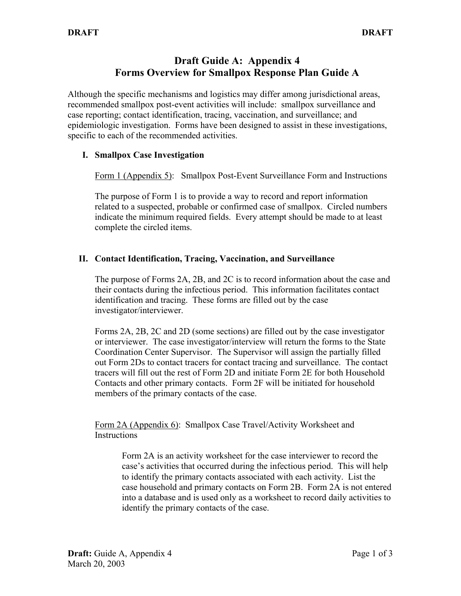## **Draft Guide A: Appendix 4 Forms Overview for Smallpox Response Plan Guide A**

Although the specific mechanisms and logistics may differ among jurisdictional areas, recommended smallpox post-event activities will include: smallpox surveillance and case reporting; contact identification, tracing, vaccination, and surveillance; and epidemiologic investigation. Forms have been designed to assist in these investigations, specific to each of the recommended activities.

## **I. Smallpox Case Investigation**

Form 1 (Appendix 5): Smallpox Post-Event Surveillance Form and Instructions

The purpose of Form 1 is to provide a way to record and report information related to a suspected, probable or confirmed case of smallpox. Circled numbers indicate the minimum required fields. Every attempt should be made to at least complete the circled items.

## **II. Contact Identification, Tracing, Vaccination, and Surveillance**

The purpose of Forms 2A, 2B, and 2C is to record information about the case and their contacts during the infectious period. This information facilitates contact identification and tracing. These forms are filled out by the case investigator/interviewer.

Forms 2A, 2B, 2C and 2D (some sections) are filled out by the case investigator or interviewer. The case investigator/interview will return the forms to the State Coordination Center Supervisor. The Supervisor will assign the partially filled out Form 2Ds to contact tracers for contact tracing and surveillance. The contact tracers will fill out the rest of Form 2D and initiate Form 2E for both Household Contacts and other primary contacts. Form 2F will be initiated for household members of the primary contacts of the case.

Form 2A (Appendix 6): Smallpox Case Travel/Activity Worksheet and **Instructions** 

> Form 2A is an activity worksheet for the case interviewer to record the case's activities that occurred during the infectious period. This will help to identify the primary contacts associated with each activity. List the case household and primary contacts on Form 2B. Form 2A is not entered into a database and is used only as a worksheet to record daily activities to identify the primary contacts of the case.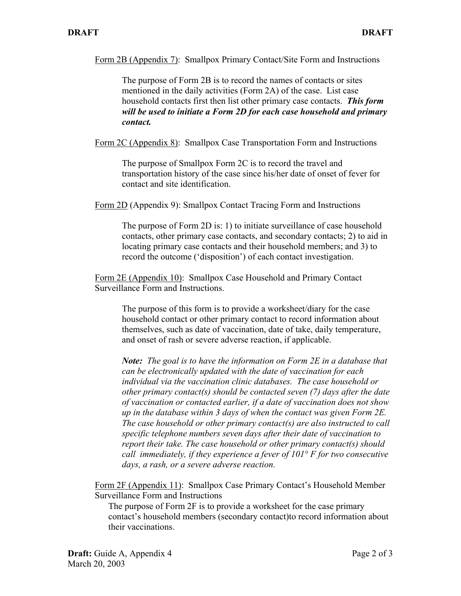Form 2B (Appendix 7): Smallpox Primary Contact/Site Form and Instructions

The purpose of Form 2B is to record the names of contacts or sites mentioned in the daily activities (Form 2A) of the case. List case household contacts first then list other primary case contacts. *This form will be used to initiate a Form 2D for each case household and primary contact.* 

Form 2C (Appendix 8): Smallpox Case Transportation Form and Instructions

The purpose of Smallpox Form 2C is to record the travel and transportation history of the case since his/her date of onset of fever for contact and site identification.

Form 2D (Appendix 9): Smallpox Contact Tracing Form and Instructions

The purpose of Form 2D is: 1) to initiate surveillance of case household contacts, other primary case contacts, and secondary contacts; 2) to aid in locating primary case contacts and their household members; and 3) to record the outcome ('disposition') of each contact investigation.

Form 2E (Appendix 10): Smallpox Case Household and Primary Contact Surveillance Form and Instructions.

> The purpose of this form is to provide a worksheet/diary for the case household contact or other primary contact to record information about themselves, such as date of vaccination, date of take, daily temperature, and onset of rash or severe adverse reaction, if applicable.

*Note: The goal is to have the information on Form 2E in a database that can be electronically updated with the date of vaccination for each individual via the vaccination clinic databases. The case household or other primary contact(s) should be contacted seven (7) days after the date of vaccination or contacted earlier, if a date of vaccination does not show up in the database within 3 days of when the contact was given Form 2E. The case household or other primary contact(s) are also instructed to call specific telephone numbers seven days after their date of vaccination to report their take. The case household or other primary contact(s) should call immediately, if they experience a fever of 101° F for two consecutive days, a rash, or a severe adverse reaction.* 

Form 2F (Appendix 11): Smallpox Case Primary Contact's Household Member Surveillance Form and Instructions

The purpose of Form 2F is to provide a worksheet for the case primary contact's household members (secondary contact)to record information about their vaccinations.